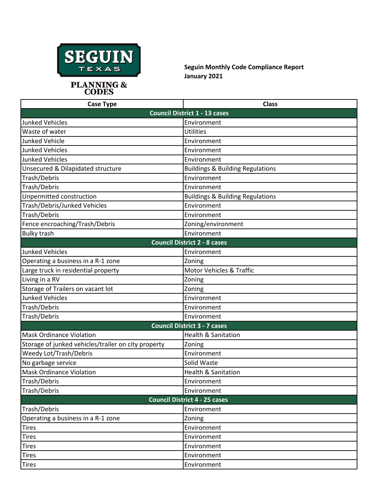

**Seguin Monthly Code Compliance Report January 2021**

| <b>Case Type</b>                                    | <b>Class</b>                                |  |
|-----------------------------------------------------|---------------------------------------------|--|
|                                                     | <b>Council District 1 - 13 cases</b>        |  |
| <b>Junked Vehicles</b>                              | Environment                                 |  |
| Waste of water                                      | Utilities                                   |  |
| <b>Junked Vehicle</b>                               | Environment                                 |  |
| <b>Junked Vehicles</b>                              | Environment                                 |  |
| <b>Junked Vehicles</b>                              | Environment                                 |  |
| Unsecured & Dilapidated structure                   | <b>Buildings &amp; Building Regulations</b> |  |
| Trash/Debris                                        | Environment                                 |  |
| Trash/Debris                                        | Environment                                 |  |
| Unpermitted construction                            | <b>Buildings &amp; Building Regulations</b> |  |
| Trash/Debris/Junked Vehicles                        | Environment                                 |  |
| Trash/Debris                                        | Environment                                 |  |
| Fence encroaching/Trash/Debris                      | Zoning/environment                          |  |
| <b>Bulky trash</b>                                  | Environment                                 |  |
| <b>Council District 2 - 8 cases</b>                 |                                             |  |
| <b>Junked Vehicles</b>                              | Environment                                 |  |
| Operating a business in a R-1 zone                  | Zoning                                      |  |
| Large truck in residential property                 | <b>Motor Vehicles &amp; Traffic</b>         |  |
| Living in a RV                                      | Zoning                                      |  |
| Storage of Trailers on vacant lot                   | Zoning                                      |  |
| <b>Junked Vehicles</b>                              | Environment                                 |  |
| Trash/Debris                                        | Environment                                 |  |
| Trash/Debris                                        | Environment                                 |  |
|                                                     | <b>Council District 3 - 7 cases</b>         |  |
| <b>Mask Ordinance Violation</b>                     | <b>Health &amp; Sanitation</b>              |  |
| Storage of junked vehicles/trailer on city property | Zoning                                      |  |
| Weedy Lot/Trash/Debris                              | Environment                                 |  |
| No garbage service                                  | Solid Waste                                 |  |
| <b>Mask Ordinance Violation</b>                     | <b>Health &amp; Sanitation</b>              |  |
| Trash/Debris                                        | Environment                                 |  |
| Trash/Debris                                        | Environment                                 |  |
| <b>Council District 4 - 25 cases</b>                |                                             |  |
| Trash/Debris                                        | Environment                                 |  |
| Operating a business in a R-1 zone                  | Zoning                                      |  |
| <b>Tires</b>                                        | Environment                                 |  |
| <b>Tires</b>                                        | Environment                                 |  |
| <b>Tires</b>                                        | Environment                                 |  |
| <b>Tires</b>                                        | Environment                                 |  |
| <b>Tires</b>                                        | Environment                                 |  |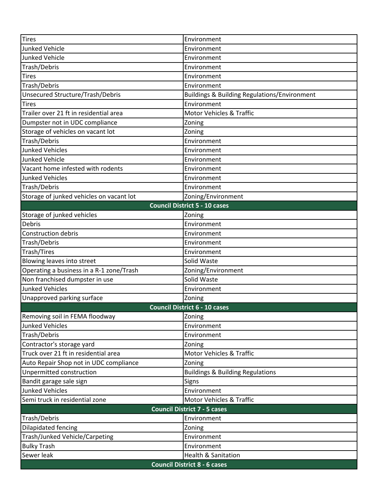| <b>Tires</b>                             | Environment                                             |  |
|------------------------------------------|---------------------------------------------------------|--|
| <b>Junked Vehicle</b>                    | Environment                                             |  |
| <b>Junked Vehicle</b>                    | Environment                                             |  |
| Trash/Debris                             | Environment                                             |  |
| <b>Tires</b>                             | Environment                                             |  |
| Trash/Debris                             | Environment                                             |  |
| Unsecured Structure/Trash/Debris         | <b>Buildings &amp; Building Regulations/Environment</b> |  |
| <b>Tires</b>                             | Environment                                             |  |
| Trailer over 21 ft in residential area   | Motor Vehicles & Traffic                                |  |
| Dumpster not in UDC compliance           | Zoning                                                  |  |
| Storage of vehicles on vacant lot        | Zoning                                                  |  |
| Trash/Debris                             | Environment                                             |  |
| <b>Junked Vehicles</b>                   | Environment                                             |  |
| <b>Junked Vehicle</b>                    | Environment                                             |  |
| Vacant home infested with rodents        | Environment                                             |  |
| <b>Junked Vehicles</b>                   | Environment                                             |  |
| Trash/Debris                             | Environment                                             |  |
| Storage of junked vehicles on vacant lot | Zoning/Environment                                      |  |
| <b>Council District 5 - 10 cases</b>     |                                                         |  |
| Storage of junked vehicles               | Zoning                                                  |  |
| Debris                                   | Environment                                             |  |
| <b>Construction debris</b>               | Environment                                             |  |
| Trash/Debris                             | Environment                                             |  |
| Trash/Tires                              | Environment                                             |  |
| Blowing leaves into street               | Solid Waste                                             |  |
| Operating a business in a R-1 zone/Trash | Zoning/Environment                                      |  |
| Non franchised dumpster in use           | Solid Waste                                             |  |
| <b>Junked Vehicles</b>                   | Environment                                             |  |
| Unapproved parking surface               | Zoning                                                  |  |
| <b>Council District 6 - 10 cases</b>     |                                                         |  |
| Removing soil in FEMA floodway           | Zoning                                                  |  |
| <b>Junked Vehicles</b>                   | Environment                                             |  |
| Trash/Debris                             | Environment                                             |  |
| Contractor's storage yard                | Zoning                                                  |  |
| Truck over 21 ft in residential area     | Motor Vehicles & Traffic                                |  |
| Auto Repair Shop not in UDC compliance   | Zoning                                                  |  |
| Unpermitted construction                 | <b>Buildings &amp; Building Regulations</b>             |  |
| Bandit garage sale sign                  | <b>Signs</b>                                            |  |
| <b>Junked Vehicles</b>                   | Environment                                             |  |
| Semi truck in residential zone           | Motor Vehicles & Traffic                                |  |
| <b>Council District 7 - 5 cases</b>      |                                                         |  |
| Trash/Debris                             | Environment                                             |  |
| Dilapidated fencing                      | Zoning                                                  |  |
| Trash/Junked Vehicle/Carpeting           | Environment                                             |  |
| <b>Bulky Trash</b>                       | Environment                                             |  |
| Sewer leak                               | <b>Health &amp; Sanitation</b>                          |  |
| <b>Council District 8 - 6 cases</b>      |                                                         |  |